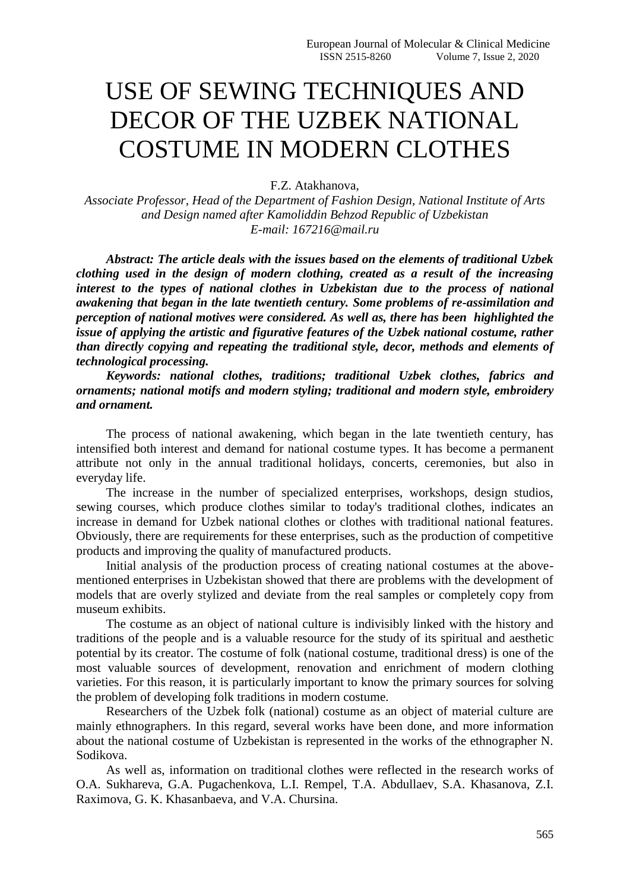## USE OF SEWING TECHNIQUES AND DECOR OF THE UZBEK NATIONAL COSTUME IN MODERN CLOTHES

F.Z. Atakhanova,

*Associate Professor, Head of the Department of Fashion Design, National Institute of Arts and Design named after Kamoliddin Behzod Republic of Uzbekistan E-mail: 167216@mail.ru*

*Abstract: The article deals with the issues based on the elements of traditional Uzbek clothing used in the design of modern clothing, created as a result of the increasing interest to the types of national clothes in Uzbekistan due to the process of national awakening that began in the late twentieth century. Some problems of re-assimilation and perception of national motives were considered. As well as, there has been highlighted the issue of applying the artistic and figurative features of the Uzbek national costume, rather than directly copying and repeating the traditional style, decor, methods and elements of technological processing.*

*Keywords: national clothes, traditions; traditional Uzbek clothes, fabrics and ornaments; national motifs and modern styling; traditional and modern style, embroidery and ornament.*

The process of national awakening, which began in the late twentieth century, has intensified both interest and demand for national costume types. It has become a permanent attribute not only in the annual traditional holidays, concerts, ceremonies, but also in everyday life.

The increase in the number of specialized enterprises, workshops, design studios, sewing courses, which produce clothes similar to today's traditional clothes, indicates an increase in demand for Uzbek national clothes or clothes with traditional national features. Obviously, there are requirements for these enterprises, such as the production of competitive products and improving the quality of manufactured products.

Initial analysis of the production process of creating national costumes at the abovementioned enterprises in Uzbekistan showed that there are problems with the development of models that are overly stylized and deviate from the real samples or completely copy from museum exhibits.

The costume as an object of national culture is indivisibly linked with the history and traditions of the people and is a valuable resource for the study of its spiritual and aesthetic potential by its creator. The costume of folk (national costume, traditional dress) is one of the most valuable sources of development, renovation and enrichment of modern clothing varieties. For this reason, it is particularly important to know the primary sources for solving the problem of developing folk traditions in modern costume.

Researchers of the Uzbek folk (national) costume as an object of material culture are mainly ethnographers. In this regard, several works have been done, and more information about the national costume of Uzbekistan is represented in the works of the ethnographer N. Sodikova.

As well as, information on traditional clothes were reflected in the research works of O.A. Sukhareva, G.A. Pugachenkova, L.I. Rempel, T.A. Abdullaev, S.A. Khasanova, Z.I. Raximova, G. K. Khasanbaeva, and V.A. Chursina.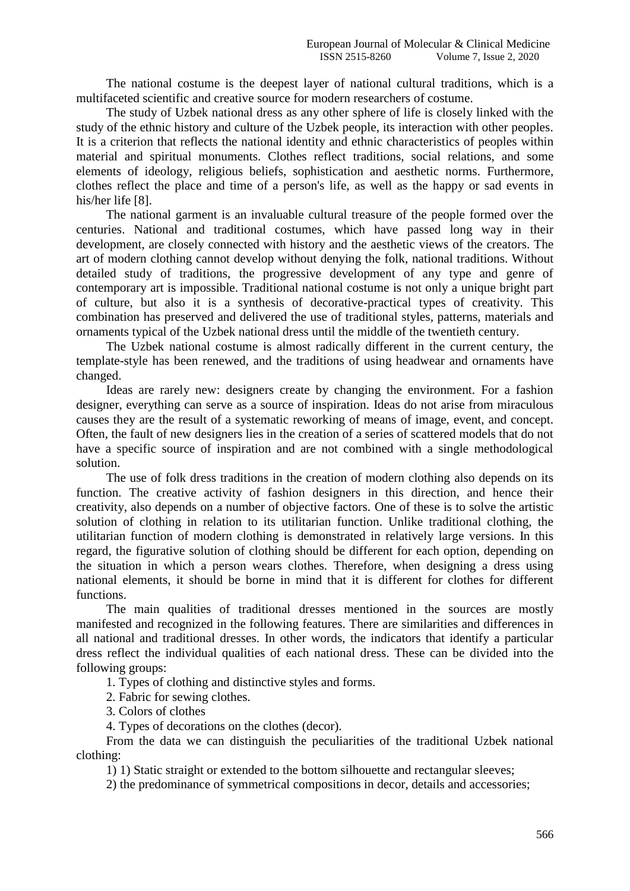The national costume is the deepest layer of national cultural traditions, which is a multifaceted scientific and creative source for modern researchers of costume.

The study of Uzbek national dress as any other sphere of life is closely linked with the study of the ethnic history and culture of the Uzbek people, its interaction with other peoples. It is a criterion that reflects the national identity and ethnic characteristics of peoples within material and spiritual monuments. Clothes reflect traditions, social relations, and some elements of ideology, religious beliefs, sophistication and aesthetic norms. Furthermore, clothes reflect the place and time of a person's life, as well as the happy or sad events in his/her life [8].

The national garment is an invaluable cultural treasure of the people formed over the centuries. National and traditional costumes, which have passed long way in their development, are closely connected with history and the aesthetic views of the creators. The art of modern clothing cannot develop without denying the folk, national traditions. Without detailed study of traditions, the progressive development of any type and genre of contemporary art is impossible. Traditional national costume is not only a unique bright part of culture, but also it is a synthesis of decorative-practical types of creativity. This combination has preserved and delivered the use of traditional styles, patterns, materials and ornaments typical of the Uzbek national dress until the middle of the twentieth century.

The Uzbek national costume is almost radically different in the current century, the template-style has been renewed, and the traditions of using headwear and ornaments have changed.

Ideas are rarely new: designers create by changing the environment. For a fashion designer, everything can serve as a source of inspiration. Ideas do not arise from miraculous causes they are the result of a systematic reworking of means of image, event, and concept. Often, the fault of new designers lies in the creation of a series of scattered models that do not have a specific source of inspiration and are not combined with a single methodological solution.

The use of folk dress traditions in the creation of modern clothing also depends on its function. The creative activity of fashion designers in this direction, and hence their creativity, also depends on a number of objective factors. One of these is to solve the artistic solution of clothing in relation to its utilitarian function. Unlike traditional clothing, the utilitarian function of modern clothing is demonstrated in relatively large versions. In this regard, the figurative solution of clothing should be different for each option, depending on the situation in which a person wears clothes. Therefore, when designing a dress using national elements, it should be borne in mind that it is different for clothes for different functions.

The main qualities of traditional dresses mentioned in the sources are mostly manifested and recognized in the following features. There are similarities and differences in all national and traditional dresses. In other words, the indicators that identify a particular dress reflect the individual qualities of each national dress. These can be divided into the following groups:

1. Types of clothing and distinctive styles and forms.

2. Fabric for sewing clothes.

3. Colors of clothes

4. Types of decorations on the clothes (decor).

From the data we can distinguish the peculiarities of the traditional Uzbek national clothing:

1) 1) Static straight or extended to the bottom silhouette and rectangular sleeves;

2) the predominance of symmetrical compositions in decor, details and accessories;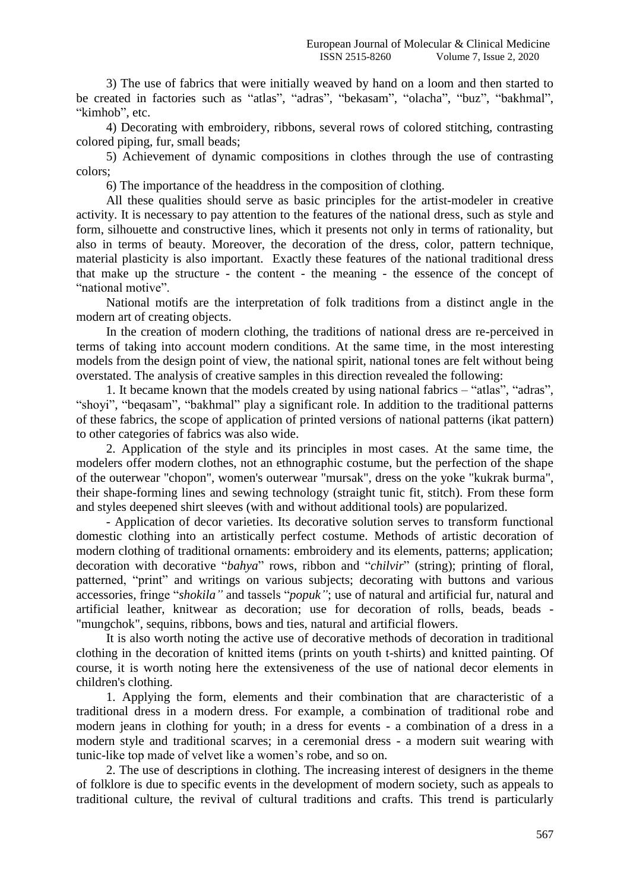3) The use of fabrics that were initially weaved by hand on a loom and then started to be created in factories such as "atlas", "adras", "bekasam", "olacha", "buz", "bakhmal", "kimhob", etc.

4) Decorating with embroidery, ribbons, several rows of colored stitching, contrasting colored piping, fur, small beads;

5) Achievement of dynamic compositions in clothes through the use of contrasting colors;

6) The importance of the headdress in the composition of clothing.

All these qualities should serve as basic principles for the artist-modeler in creative activity. It is necessary to pay attention to the features of the national dress, such as style and form, silhouette and constructive lines, which it presents not only in terms of rationality, but also in terms of beauty. Moreover, the decoration of the dress, color, pattern technique, material plasticity is also important. Exactly these features of the national traditional dress that make up the structure - the content - the meaning - the essence of the concept of "national motive".

National motifs are the interpretation of folk traditions from a distinct angle in the modern art of creating objects.

In the creation of modern clothing, the traditions of national dress are re-perceived in terms of taking into account modern conditions. At the same time, in the most interesting models from the design point of view, the national spirit, national tones are felt without being overstated. The analysis of creative samples in this direction revealed the following:

1. It became known that the models created by using national fabrics – "atlas", "adras", "shoyi", "beqasam", "bakhmal" play a significant role. In addition to the traditional patterns of these fabrics, the scope of application of printed versions of national patterns (ikat pattern) to other categories of fabrics was also wide.

2. Application of the style and its principles in most cases. At the same time, the modelers offer modern clothes, not an ethnographic costume, but the perfection of the shape of the outerwear "chopon", women's outerwear "mursak", dress on the yoke "kukrak burma", their shape-forming lines and sewing technology (straight tunic fit, stitch). From these form and styles deepened shirt sleeves (with and without additional tools) are popularized.

- Application of decor varieties. Its decorative solution serves to transform functional domestic clothing into an artistically perfect costume. Methods of artistic decoration of modern clothing of traditional ornaments: embroidery and its elements, patterns; application; decoration with decorative "*bahya*" rows, ribbon and "*chilvir*" (string); printing of floral, patterned, "print" and writings on various subjects; decorating with buttons and various accessories, fringe "*shokila"* and tassels "*popuk"*; use of natural and artificial fur, natural and artificial leather, knitwear as decoration; use for decoration of rolls, beads, beads - "mungchok", sequins, ribbons, bows and ties, natural and artificial flowers.

It is also worth noting the active use of decorative methods of decoration in traditional clothing in the decoration of knitted items (prints on youth t-shirts) and knitted painting. Of course, it is worth noting here the extensiveness of the use of national decor elements in children's clothing.

1. Applying the form, elements and their combination that are characteristic of a traditional dress in a modern dress. For example, a combination of traditional robe and modern jeans in clothing for youth; in a dress for events - a combination of a dress in a modern style and traditional scarves; in a ceremonial dress - a modern suit wearing with tunic-like top made of velvet like a women's robe, and so on.

2. The use of descriptions in clothing. The increasing interest of designers in the theme of folklore is due to specific events in the development of modern society, such as appeals to traditional culture, the revival of cultural traditions and crafts. This trend is particularly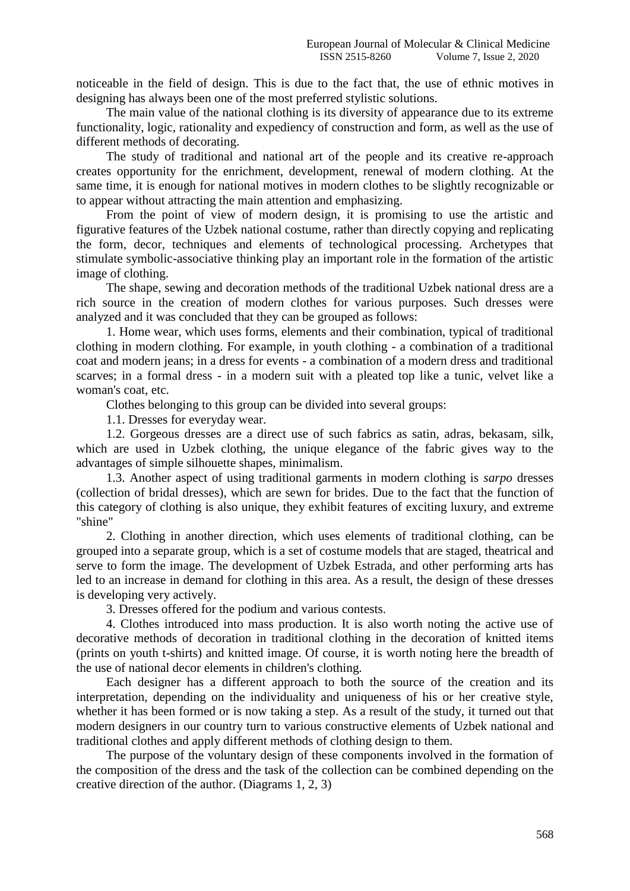noticeable in the field of design. This is due to the fact that, the use of ethnic motives in designing has always been one of the most preferred stylistic solutions.

The main value of the national clothing is its diversity of appearance due to its extreme functionality, logic, rationality and expediency of construction and form, as well as the use of different methods of decorating.

The study of traditional and national art of the people and its creative re-approach creates opportunity for the enrichment, development, renewal of modern clothing. At the same time, it is enough for national motives in modern clothes to be slightly recognizable or to appear without attracting the main attention and emphasizing.

From the point of view of modern design, it is promising to use the artistic and figurative features of the Uzbek national costume, rather than directly copying and replicating the form, decor, techniques and elements of technological processing. Archetypes that stimulate symbolic-associative thinking play an important role in the formation of the artistic image of clothing.

The shape, sewing and decoration methods of the traditional Uzbek national dress are a rich source in the creation of modern clothes for various purposes. Such dresses were analyzed and it was concluded that they can be grouped as follows:

1. Home wear, which uses forms, elements and their combination, typical of traditional clothing in modern clothing. For example, in youth clothing - a combination of a traditional coat and modern jeans; in a dress for events - a combination of a modern dress and traditional scarves; in a formal dress - in a modern suit with a pleated top like a tunic, velvet like a woman's coat, etc.

Clothes belonging to this group can be divided into several groups:

1.1. Dresses for everyday wear.

1.2. Gorgeous dresses are a direct use of such fabrics as satin, adras, bekasam, silk, which are used in Uzbek clothing, the unique elegance of the fabric gives way to the advantages of simple silhouette shapes, minimalism.

1.3. Another aspect of using traditional garments in modern clothing is *sarpo* dresses (collection of bridal dresses), which are sewn for brides. Due to the fact that the function of this category of clothing is also unique, they exhibit features of exciting luxury, and extreme "shine"

2. Clothing in another direction, which uses elements of traditional clothing, can be grouped into a separate group, which is a set of costume models that are staged, theatrical and serve to form the image. The development of Uzbek Estrada, and other performing arts has led to an increase in demand for clothing in this area. As a result, the design of these dresses is developing very actively.

3. Dresses offered for the podium and various contests.

4. Clothes introduced into mass production. It is also worth noting the active use of decorative methods of decoration in traditional clothing in the decoration of knitted items (prints on youth t-shirts) and knitted image. Of course, it is worth noting here the breadth of the use of national decor elements in children's clothing.

Each designer has a different approach to both the source of the creation and its interpretation, depending on the individuality and uniqueness of his or her creative style, whether it has been formed or is now taking a step. As a result of the study, it turned out that modern designers in our country turn to various constructive elements of Uzbek national and traditional clothes and apply different methods of clothing design to them.

The purpose of the voluntary design of these components involved in the formation of the composition of the dress and the task of the collection can be combined depending on the creative direction of the author. (Diagrams 1, 2, 3)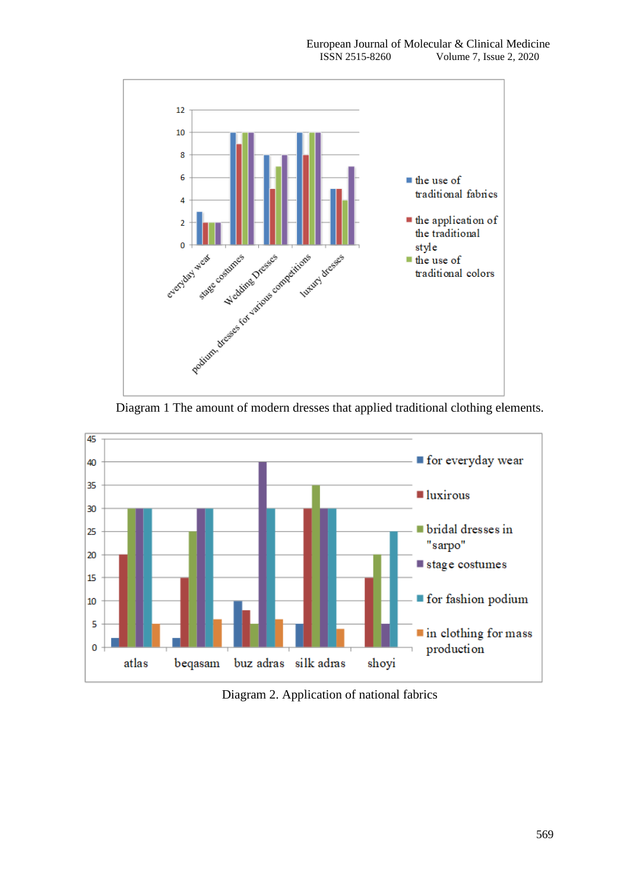





Diagram 2. Application of national fabrics